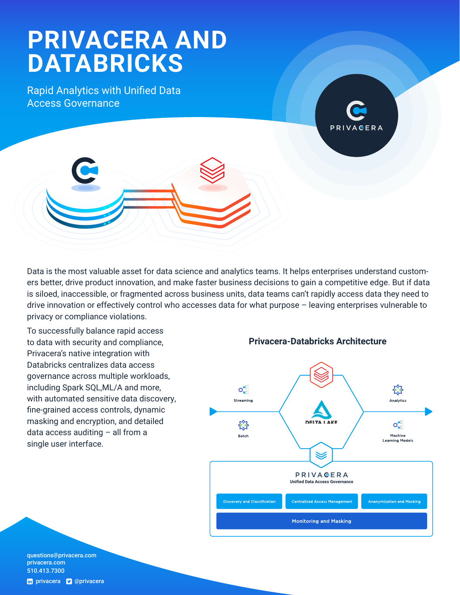# **PRIVACERA AND DATABRICKS**

Rapid Analytics with Unified Data Access Governance





Data is the most valuable asset for data science and analytics teams. It helps enterprises understand customers better, drive product innovation, and make faster business decisions to gain a competitive edge. But if data is siloed, inaccessible, or fragmented across business units, data teams can't rapidly access data they need to drive innovation or effectively control who accesses data for what purpose – leaving enterprises vulnerable to privacy or compliance violations.

To successfully balance rapid access to data with security and compliance, Privacera's native integration with Databricks centralizes data access governance across multiple workloads, including Spark SQL,ML/A and more, with automated sensitive data discovery, fine-grained access controls, dynamic masking and encryption, and detailed data access auditing – all from a single user interface.

**Privacera-Databricks Architecture**



questions@[privacera.com](mailto:questions%40privacera.com?subject=)  [privacera.com](http://www.privacera.com) 510.413.7300 th [privacera](http://twitter.com/privacera) **v** @privacera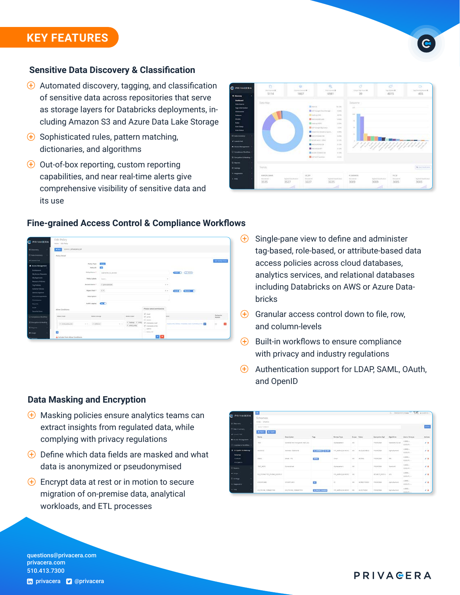### **KEY FEATURES**

#### **Sensitive Data Discovery & Classification**

- $\bigoplus$  Automated discovery, tagging, and classification of sensitive data across repositories that serve as storage layers for Databricks deployments, including Amazon S3 and Azure Data Lake Storage
- $\bigoplus$  Sophisticated rules, pattern matching, dictionaries, and algorithms
- $\bigoplus$  Out-of-box reporting, custom reporting capabilities, and near real-time alerts give comprehensive visibility of sensitive data and its use





#### **Fine-grained Access Control & Compliance Workflows**

- $\bigoplus$  Single-pane view to define and administer tag-based, role-based, or attribute-based data access policies across cloud databases, analytics services, and relational databases including Databricks on AWS or Azure Databricks
- $\bigoplus$  Granular access control down to file, row, and column-levels
- $\bigoplus$  Built-in workflows to ensure compliance with privacy and industry regulations
- $\bigoplus$  Authentication support for LDAP, SAML, OAuth, and OpenID

|                                             | $\Box$                   |                                      |                       |                          |               |                      |                           |                       |                                        | G temperature " VIV Apaten - |  |
|---------------------------------------------|--------------------------|--------------------------------------|-----------------------|--------------------------|---------------|----------------------|---------------------------|-----------------------|----------------------------------------|------------------------------|--|
| <b>B PRIVAGERA</b>                          | Schemes                  |                                      |                       |                          |               |                      |                           |                       |                                        |                              |  |
| <b>Q. Discovers</b>                         | <b>Indian / Schedule</b> |                                      |                       |                          |               |                      |                           |                       |                                        |                              |  |
| 3-backmannery                               | Top Cr Scheme            |                                      |                       |                          |               |                      |                           |                       |                                        | $\rightarrow$ 1440)          |  |
| # Lissen Rat                                | Allent Allent            |                                      | $\tau_{\rm HII}$      | <b>TELLISTER</b>         |               |                      |                           |                       |                                        | $1 - 15 - 1$                 |  |
| A Accest Monaghment - I                     | Rane                     | <b>Description</b>                   |                       | <b>Parmet Type:</b>      | Super Value   |                      | <b>Tearyation Aud</b>     | Algorithm             | Users / Ereups                         | Actions                      |  |
| 3 Complement Vanckthow 11                   | Text.                    | stewed first incrymon-445 2W-        |                       | <b>Rohensetvand</b>      | $\rightarrow$ |                      | PEVAIEA                   | <b>Senderd 256 hr</b> | 120306-0-<br>GACKING -                 | $\lambda$                    |  |
| <b>E</b> Entrembler & Menting in            | AUDIOES                  | <b>CARL BOYARD</b><br>Administrators | <b>ULADINAL LA ON</b> | FREALMA, NUMBER          | $\sim$        | <b>AUS ADDINEES</b>  | <b>CASTLES</b><br>PERMITA | Aphotecere            | Literatu -<br>$\sim$<br><b>CROSS</b> - | ן.<br>16                     |  |
| <b>Schemen</b><br><b>Garman</b><br>Incenter | shaes.                   | <b>Drug LIFE</b>                     | <b>Direct</b>         | <b>Thead</b>             | $\lambda$     | <i><b>ACMINI</b></i> | PEVATEA                   | 124                   | LISAS-<br>CAOURS -                     | o sa<br>24                   |  |
| D. Nabdril                                  | 302,501L                 | Constal book                         |                       | Rohenartent              | $\sim$        |                      | PEVADEA                   | Técnican              | Losin -<br>ERGEN V                     | 2.8                          |  |
| $\blacksquare$ Deeps                        | ULTIMATES PHONE ASSAULT  |                                      |                       | TRUAINA MOVEE            | A             |                      | EDAUXIES                  | $-145$                | LADS -<br><b>JACKPLY</b>               | 18                           |  |
| <b>D. temps</b>                             |                          |                                      |                       |                          |               |                      |                           |                       | $1500 -$                               |                              |  |
| 6. Starweren                                | CHRESTARO                | counties.                            | C.                    | $-15$                    | A4            | <b>ACREDITATION</b>  | PERMIT                    | Alphamered            | ,,,,,<br>コスクレート                        | $\lambda$                    |  |
| <b>Links</b>                                | all Philad Alanda Tital  | <b><i>ULPICHE FORMATTES</i></b>      | <b>SEPACHE MANUE</b>  | <b>TPLACINA MUNICIPE</b> | $\sim$        | ALC: PACKET          | PEVATERA                  | Asturbones            | LADIS<br>particles in                  | 2.8                          |  |

#### **Data Masking and Encryption**

- $\bigoplus$  Masking policies ensure analytics teams can extract insights from regulated data, while complying with privacy regulations
- $\bigoplus$  Define which data fields are masked and what data is anonymized or pseudonymised
- $\bigoplus$  Encrypt data at rest or in motion to secure migration of on-premise data, analytical workloads, and ETL processes

**PRIVAeERA** 

questions@[privacera.com](mailto:questions%40privacera.com?subject=)  [privacera.com](http://www.privacera.com) 510.413.7300

#### th privacera **v** @privacera